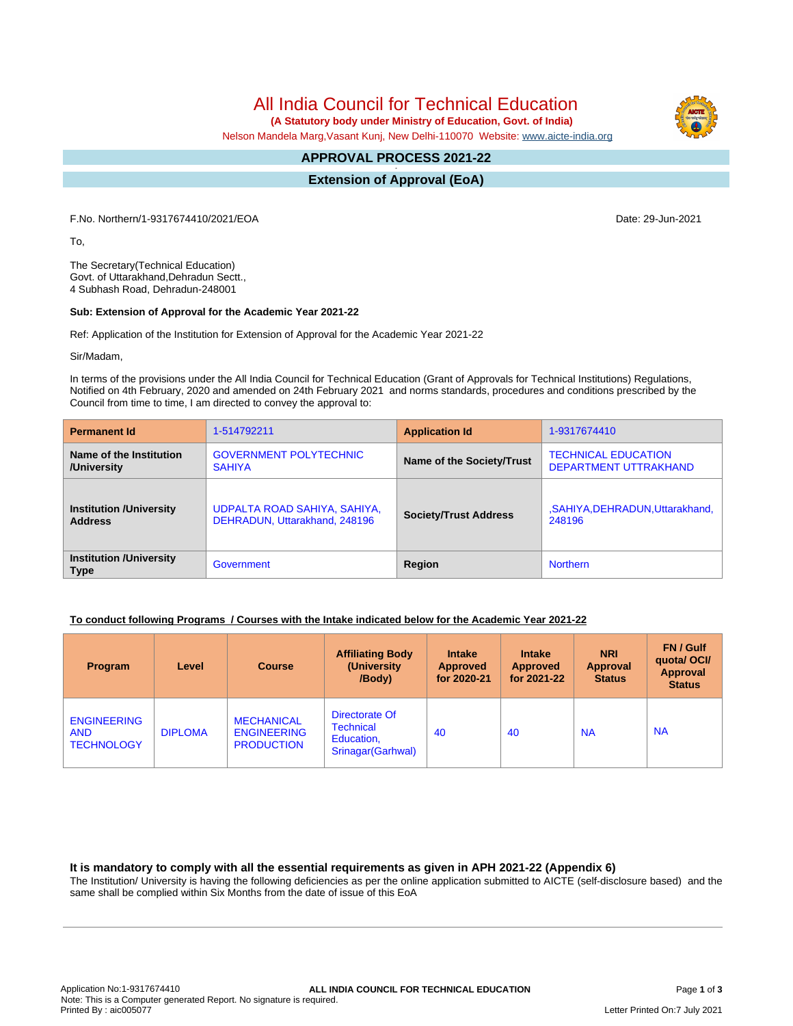All India Council for Technical Education

 **(A Statutory body under Ministry of Education, Govt. of India)**

Nelson Mandela Marg,Vasant Kunj, New Delhi-110070 Website: [www.aicte-india.org](http://www.aicte-india.org)

#### **APPROVAL PROCESS 2021-22 -**

**Extension of Approval (EoA)**

F.No. Northern/1-9317674410/2021/EOA Date: 29-Jun-2021

To,

The Secretary(Technical Education) Govt. of Uttarakhand,Dehradun Sectt., 4 Subhash Road, Dehradun-248001

## **Sub: Extension of Approval for the Academic Year 2021-22**

Ref: Application of the Institution for Extension of Approval for the Academic Year 2021-22

Sir/Madam,

In terms of the provisions under the All India Council for Technical Education (Grant of Approvals for Technical Institutions) Regulations, Notified on 4th February, 2020 and amended on 24th February 2021 and norms standards, procedures and conditions prescribed by the Council from time to time, I am directed to convey the approval to:

| <b>Permanent Id</b>                           | 1-514792211                   | <b>Application Id</b>        | 1-9317674410                  |  |
|-----------------------------------------------|-------------------------------|------------------------------|-------------------------------|--|
| Name of the Institution                       | <b>GOVERNMENT POLYTECHNIC</b> | Name of the Society/Trust    | <b>TECHNICAL EDUCATION</b>    |  |
| /University                                   | <b>SAHIYA</b>                 |                              | <b>DEPARTMENT UTTRAKHAND</b>  |  |
| <b>Institution /University</b>                | UDPALTA ROAD SAHIYA, SAHIYA,  | <b>Society/Trust Address</b> | ,SAHIYA,DEHRADUN,Uttarakhand, |  |
| <b>Address</b>                                | DEHRADUN, Uttarakhand, 248196 |                              | 248196                        |  |
| <b>Institution /University</b><br><b>Type</b> | Government                    | Region                       | <b>Northern</b>               |  |

# **To conduct following Programs / Courses with the Intake indicated below for the Academic Year 2021-22**

| Program                                               | Level          | <b>Course</b>                                                | <b>Affiliating Body</b><br>(University)<br>/Body)                      | <b>Intake</b><br><b>Approved</b><br>for 2020-21 | <b>Intake</b><br><b>Approved</b><br>for 2021-22 | <b>NRI</b><br><b>Approval</b><br><b>Status</b> | FN / Gulf<br>quotal OCI/<br>Approval<br><b>Status</b> |
|-------------------------------------------------------|----------------|--------------------------------------------------------------|------------------------------------------------------------------------|-------------------------------------------------|-------------------------------------------------|------------------------------------------------|-------------------------------------------------------|
| <b>ENGINEERING</b><br><b>AND</b><br><b>TECHNOLOGY</b> | <b>DIPLOMA</b> | <b>MECHANICAL</b><br><b>ENGINEERING</b><br><b>PRODUCTION</b> | Directorate Of<br><b>Technical</b><br>Education,<br>Srinagar (Garhwal) | 40                                              | 40                                              | <b>NA</b>                                      | <b>NA</b>                                             |

#### **It is mandatory to comply with all the essential requirements as given in APH 2021-22 (Appendix 6)**

The Institution/ University is having the following deficiencies as per the online application submitted to AICTE (self-disclosure based) and the same shall be complied within Six Months from the date of issue of this EoA

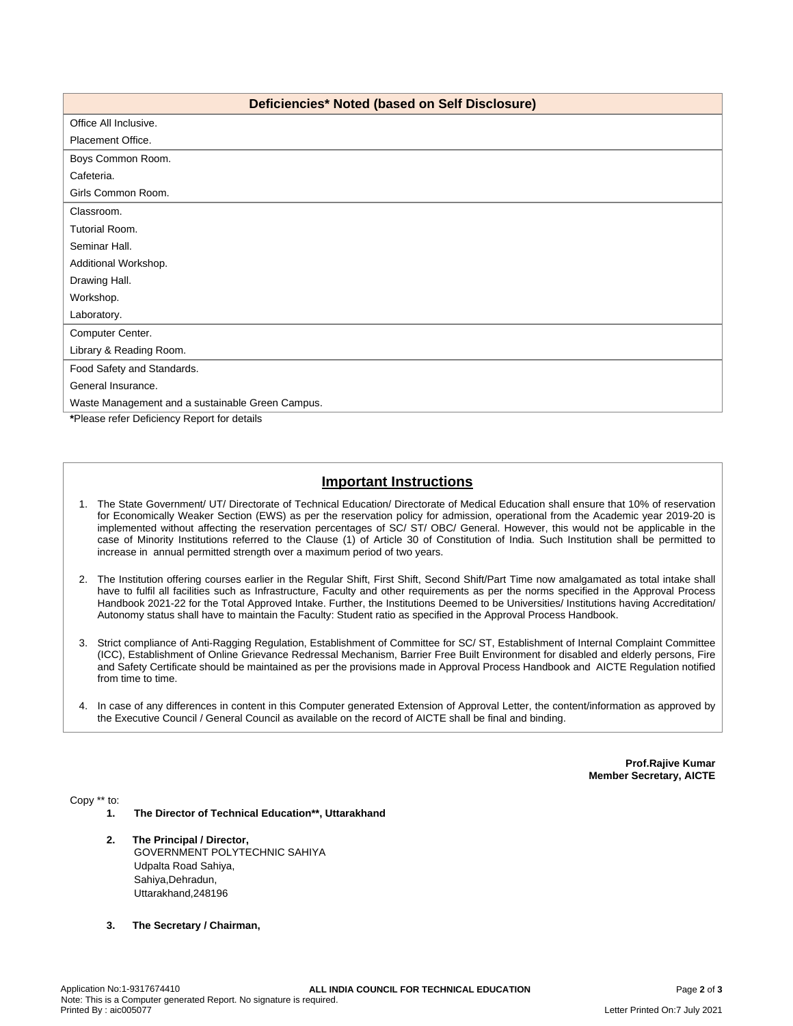| Deficiencies* Noted (based on Self Disclosure)   |  |  |  |  |
|--------------------------------------------------|--|--|--|--|
| Office All Inclusive.                            |  |  |  |  |
| Placement Office.                                |  |  |  |  |
| Boys Common Room.                                |  |  |  |  |
| Cafeteria.                                       |  |  |  |  |
| Girls Common Room.                               |  |  |  |  |
| Classroom.                                       |  |  |  |  |
| Tutorial Room.                                   |  |  |  |  |
| Seminar Hall.                                    |  |  |  |  |
| Additional Workshop.                             |  |  |  |  |
| Drawing Hall.                                    |  |  |  |  |
| Workshop.                                        |  |  |  |  |
| Laboratory.                                      |  |  |  |  |
| Computer Center.                                 |  |  |  |  |
| Library & Reading Room.                          |  |  |  |  |
| Food Safety and Standards.                       |  |  |  |  |
| General Insurance.                               |  |  |  |  |
| Waste Management and a sustainable Green Campus. |  |  |  |  |
| *Please refer Deficiency Report for details      |  |  |  |  |

# **Important Instructions**

- 1. The State Government/ UT/ Directorate of Technical Education/ Directorate of Medical Education shall ensure that 10% of reservation for Economically Weaker Section (EWS) as per the reservation policy for admission, operational from the Academic year 2019-20 is implemented without affecting the reservation percentages of SC/ ST/ OBC/ General. However, this would not be applicable in the case of Minority Institutions referred to the Clause (1) of Article 30 of Constitution of India. Such Institution shall be permitted to increase in annual permitted strength over a maximum period of two years.
- 2. The Institution offering courses earlier in the Regular Shift, First Shift, Second Shift/Part Time now amalgamated as total intake shall have to fulfil all facilities such as Infrastructure, Faculty and other requirements as per the norms specified in the Approval Process Handbook 2021-22 for the Total Approved Intake. Further, the Institutions Deemed to be Universities/ Institutions having Accreditation/ Autonomy status shall have to maintain the Faculty: Student ratio as specified in the Approval Process Handbook.
- 3. Strict compliance of Anti-Ragging Regulation, Establishment of Committee for SC/ ST, Establishment of Internal Complaint Committee (ICC), Establishment of Online Grievance Redressal Mechanism, Barrier Free Built Environment for disabled and elderly persons, Fire and Safety Certificate should be maintained as per the provisions made in Approval Process Handbook and AICTE Regulation notified from time to time.
- 4. In case of any differences in content in this Computer generated Extension of Approval Letter, the content/information as approved by the Executive Council / General Council as available on the record of AICTE shall be final and binding.

**Prof.Rajive Kumar Member Secretary, AICTE**

Copy \*\* to:

- **1. The Director of Technical Education\*\*, Uttarakhand**
- **2. The Principal / Director,** GOVERNMENT POLYTECHNIC SAHIYA Udpalta Road Sahiya, Sahiya,Dehradun, Uttarakhand,248196
- **3. The Secretary / Chairman,**